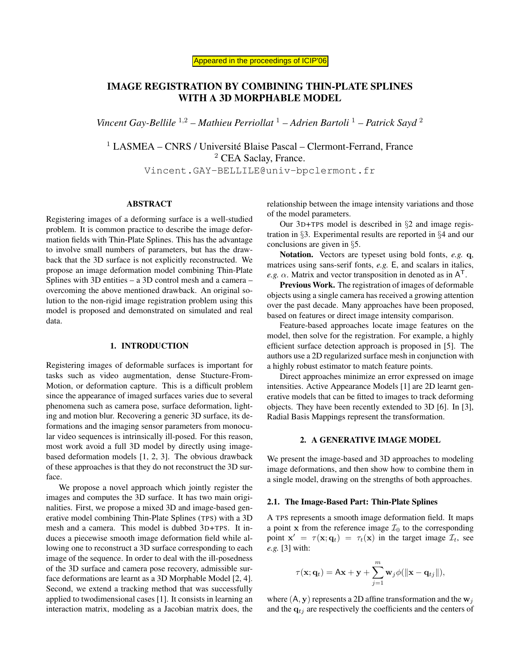# IMAGE REGISTRATION BY COMBINING THIN-PLATE SPLINES WITH A 3D MORPHABLE MODEL

*Vincent Gay-Bellile* <sup>1</sup>,<sup>2</sup> *– Mathieu Perriollat* <sup>1</sup> *– Adrien Bartoli* <sup>1</sup> *– Patrick Sayd* <sup>2</sup>

<sup>1</sup> LASMEA – CNRS / Université Blaise Pascal – Clermont-Ferrand, France <sup>2</sup> CEA Saclay, France. Vincent.GAY-BELLILE@univ-bpclermont.fr

## ABSTRACT

Registering images of a deforming surface is a well-studied problem. It is common practice to describe the image deformation fields with Thin-Plate Splines. This has the advantage to involve small numbers of parameters, but has the drawback that the 3D surface is not explicitly reconstructed. We propose an image deformation model combining Thin-Plate Splines with 3D entities – a 3D control mesh and a camera – overcoming the above mentioned drawback. An original solution to the non-rigid image registration problem using this model is proposed and demonstrated on simulated and real data.

## 1. INTRODUCTION

Registering images of deformable surfaces is important for tasks such as video augmentation, dense Stucture-From-Motion, or deformation capture. This is a difficult problem since the appearance of imaged surfaces varies due to several phenomena such as camera pose, surface deformation, lighting and motion blur. Recovering a generic 3D surface, its deformations and the imaging sensor parameters from monocular video sequences is intrinsically ill-posed. For this reason, most work avoid a full 3D model by directly using imagebased deformation models [1, 2, 3]. The obvious drawback of these approaches is that they do not reconstruct the 3D surface.

We propose a novel approach which jointly register the images and computes the 3D surface. It has two main originalities. First, we propose a mixed 3D and image-based generative model combining Thin-Plate Splines (TPS) with a 3D mesh and a camera. This model is dubbed 3D+TPS. It induces a piecewise smooth image deformation field while allowing one to reconstruct a 3D surface corresponding to each image of the sequence. In order to deal with the ill-posedness of the 3D surface and camera pose recovery, admissible surface deformations are learnt as a 3D Morphable Model [2, 4]. Second, we extend a tracking method that was successfully applied to twodimensional cases [1]. It consists in learning an interaction matrix, modeling as a Jacobian matrix does, the relationship between the image intensity variations and those of the model parameters.

Our 3D+TPS model is described in §2 and image registration in §3. Experimental results are reported in §4 and our conclusions are given in §5.

Notation. Vectors are typeset using bold fonts, *e.g.* q, matrices using sans-serif fonts, *e.g.* E, and scalars in italics, *e.g.*  $\alpha$ . Matrix and vector transposition in denoted as in  $A<sup>T</sup>$ .

Previous Work. The registration of images of deformable objects using a single camera has received a growing attention over the past decade. Many approaches have been proposed, based on features or direct image intensity comparison.

Feature-based approaches locate image features on the model, then solve for the registration. For example, a highly efficient surface detection approach is proposed in [5]. The authors use a 2D regularized surface mesh in conjunction with a highly robust estimator to match feature points.

Direct approaches minimize an error expressed on image intensities. Active Appearance Models [1] are 2D learnt generative models that can be fitted to images to track deforming objects. They have been recently extended to 3D [6]. In [3], Radial Basis Mappings represent the transformation.

# 2. A GENERATIVE IMAGE MODEL

We present the image-based and 3D approaches to modeling image deformations, and then show how to combine them in a single model, drawing on the strengths of both approaches.

#### 2.1. The Image-Based Part: Thin-Plate Splines

A TPS represents a smooth image deformation field. It maps a point x from the reference image  $\mathcal{I}_0$  to the corresponding point  $\mathbf{x}' = \tau(\mathbf{x}; \mathbf{q}_t) = \tau_t(\mathbf{x})$  in the target image  $\mathcal{I}_t$ , see *e.g.* [3] with:

$$
\tau(\mathbf{x};\mathbf{q}_t) = A\mathbf{x} + \mathbf{y} + \sum_{j=1}^m \mathbf{w}_j \phi(||\mathbf{x} - \mathbf{q}_{tj}||),
$$

where  $(A, y)$  represents a 2D affine transformation and the  $w_j$ and the  $q_{tj}$  are respectively the coefficients and the centers of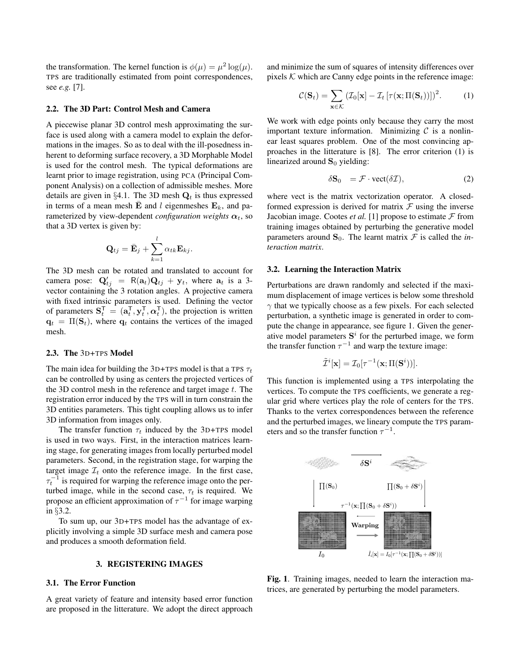the transformation. The kernel function is  $\phi(\mu) = \mu^2 \log(\mu)$ . TPS are traditionally estimated from point correspondences, see *e.g.* [7].

## 2.2. The 3D Part: Control Mesh and Camera

A piecewise planar 3D control mesh approximating the surface is used along with a camera model to explain the deformations in the images. So as to deal with the ill-posedness inherent to deforming surface recovery, a 3D Morphable Model is used for the control mesh. The typical deformations are learnt prior to image registration, using PCA (Principal Component Analysis) on a collection of admissible meshes. More details are given in §4.1. The 3D mesh  $Q_t$  is thus expressed in terms of a mean mesh  $\overline{E}$  and l eigenmeshes  $E_k$ , and parameterized by view-dependent *configuration weights*  $\alpha_t$ , so that a 3D vertex is given by:

$$
\mathbf{Q}_{tj} = \bar{\mathbf{E}}_j + \sum_{k=1}^l \alpha_{tk} \mathbf{E}_{kj}.
$$

The 3D mesh can be rotated and translated to account for camera pose:  $Q'_{tj} = R(a_t)Q_{tj} + y_t$ , where  $a_t$  is a 3vector containing the 3 rotation angles. A projective camera with fixed intrinsic parameters is used. Defining the vector of parameters  $S_t^T = (a_t^T, y_t^T, \alpha_t^T)$ , the projection is written  $\mathbf{q}_t = \Pi(\mathbf{S}_t)$ , where  $\mathbf{q}_t$  contains the vertices of the imaged mesh.

#### 2.3. The 3D+TPS Model

The main idea for building the 3D+TPS model is that a TPS  $\tau_t$ can be controlled by using as centers the projected vertices of the 3D control mesh in the reference and target image  $t$ . The registration error induced by the TPS will in turn constrain the 3D entities parameters. This tight coupling allows us to infer 3D information from images only.

The transfer function  $\tau_t$  induced by the 3D+TPS model is used in two ways. First, in the interaction matrices learning stage, for generating images from locally perturbed model parameters. Second, in the registration stage, for warping the target image  $\mathcal{I}_t$  onto the reference image. In the first case,  $\tau_t^{-1}$  is required for warping the reference image onto the perturbed image, while in the second case,  $\tau_t$  is required. We propose an efficient approximation of  $\tau^{-1}$  for image warping in §3.2.

To sum up, our 3D+TPS model has the advantage of explicitly involving a simple 3D surface mesh and camera pose and produces a smooth deformation field.

#### 3. REGISTERING IMAGES

## 3.1. The Error Function

A great variety of feature and intensity based error function are proposed in the litterature. We adopt the direct approach

and minimize the sum of squares of intensity differences over pixels  $K$  which are Canny edge points in the reference image:

$$
C(\mathbf{S}_t) = \sum_{\mathbf{x} \in \mathcal{K}} \left( \mathcal{I}_0[\mathbf{x}] - \mathcal{I}_t \left[ \tau(\mathbf{x}; \Pi(\mathbf{S}_t)) \right] \right)^2.
$$
 (1)

We work with edge points only because they carry the most important texture information. Minimizing  $C$  is a nonlinear least squares problem. One of the most convincing approaches in the litterature is [8]. The error criterion (1) is linearized around  $S_0$  yielding:

$$
\delta \mathbf{S}_0 = \mathcal{F} \cdot \text{vect}(\delta \mathcal{I}), \tag{2}
$$

where vect is the matrix vectorization operator. A closedformed expression is derived for matrix  $\mathcal F$  using the inverse Jacobian image. Cootes *et al.* [1] propose to estimate  $\mathcal F$  from training images obtained by perturbing the generative model parameters around  $S_0$ . The learnt matrix  $\mathcal F$  is called the *interaction matrix*.

## 3.2. Learning the Interaction Matrix

Perturbations are drawn randomly and selected if the maximum displacement of image vertices is below some threshold  $\gamma$  that we typically choose as a few pixels. For each selected perturbation, a synthetic image is generated in order to compute the change in appearance, see figure 1. Given the generative model parameters  $S^i$  for the perturbed image, we form the transfer function  $\tau^{-1}$  and warp the texture image:

$$
\tilde{\mathcal{I}}^i[\mathbf{x}] = \mathcal{I}_0[\tau^{-1}(\mathbf{x};\Pi(\mathbf{S}^i))].
$$

This function is implemented using a TPS interpolating the vertices. To compute the TPS coefficients, we generate a regular grid where vertices play the role of centers for the TPS. Thanks to the vertex correspondences between the reference and the perturbed images, we lineary compute the TPS parameters and so the transfer function  $\tau^{-1}$ .



Fig. 1. Training images, needed to learn the interaction matrices, are generated by perturbing the model parameters.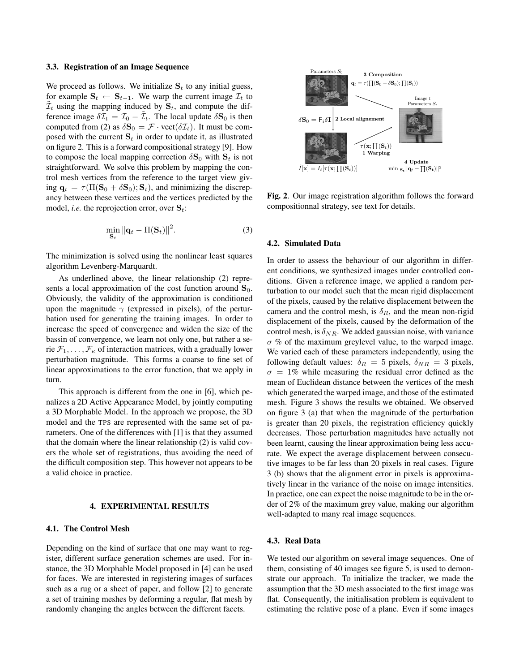#### 3.3. Registration of an Image Sequence

We proceed as follows. We initialize  $S_t$  to any initial guess, for example  $S_t$  ←  $S_{t-1}$ . We warp the current image  $\mathcal{I}_t$  to  $\tilde{\mathcal{I}}_t$  using the mapping induced by  $\mathbf{S}_t$ , and compute the difference image  $\delta \overline{I}_t = \overline{I}_0 - \tilde{I}_t$ . The local update  $\delta S_0$  is then computed from (2) as  $\delta S_0 = \mathcal{F} \cdot \text{vect}(\delta \mathcal{I}_t)$ . It must be composed with the current  $S_t$  in order to update it, as illustrated on figure 2. This is a forward compositional strategy [9]. How to compose the local mapping correction  $\delta S_0$  with  $S_t$  is not straightforward. We solve this problem by mapping the control mesh vertices from the reference to the target view giving  $\mathbf{q}_t = \tau(\Pi(\mathbf{S}_0 + \delta \mathbf{S}_0); \mathbf{S}_t)$ , and minimizing the discrepancy between these vertices and the vertices predicted by the model, *i.e.* the reprojection error, over  $S_t$ :

$$
\min_{\mathbf{S}_t} \|\mathbf{q}_t - \Pi(\mathbf{S}_t)\|^2. \tag{3}
$$

The minimization is solved using the nonlinear least squares algorithm Levenberg-Marquardt.

As underlined above, the linear relationship (2) represents a local approximation of the cost function around  $S_0$ . Obviously, the validity of the approximation is conditioned upon the magnitude  $\gamma$  (expressed in pixels), of the perturbation used for generating the training images. In order to increase the speed of convergence and widen the size of the bassin of convergence, we learn not only one, but rather a serie  $\mathcal{F}_1, \ldots, \mathcal{F}_\kappa$  of interaction matrices, with a gradually lower perturbation magnitude. This forms a coarse to fine set of linear approximations to the error function, that we apply in turn.

This approach is different from the one in [6], which penalizes a 2D Active Appearance Model, by jointly computing a 3D Morphable Model. In the approach we propose, the 3D model and the TPS are represented with the same set of parameters. One of the differences with [1] is that they assumed that the domain where the linear relationship (2) is valid covers the whole set of registrations, thus avoiding the need of the difficult composition step. This however not appears to be a valid choice in practice.

## 4. EXPERIMENTAL RESULTS

## 4.1. The Control Mesh

Depending on the kind of surface that one may want to register, different surface generation schemes are used. For instance, the 3D Morphable Model proposed in [4] can be used for faces. We are interested in registering images of surfaces such as a rug or a sheet of paper, and follow [2] to generate a set of training meshes by deforming a regular, flat mesh by randomly changing the angles between the different facets.



Fig. 2. Our image registration algorithm follows the forward compositionnal strategy, see text for details.

## 4.2. Simulated Data

In order to assess the behaviour of our algorithm in different conditions, we synthesized images under controlled conditions. Given a reference image, we applied a random perturbation to our model such that the mean rigid displacement of the pixels, caused by the relative displacement between the camera and the control mesh, is  $\delta_R$ , and the mean non-rigid displacement of the pixels, caused by the deformation of the control mesh, is  $\delta_{NR}$ . We added gaussian noise, with variance  $\sigma$  % of the maximum greylevel value, to the warped image. We varied each of these parameters independently, using the following default values:  $\delta_R = 5$  pixels,  $\delta_{NR} = 3$  pixels,  $\sigma = 1\%$  while measuring the residual error defined as the mean of Euclidean distance between the vertices of the mesh which generated the warped image, and those of the estimated mesh. Figure 3 shows the results we obtained. We observed on figure 3 (a) that when the magnitude of the perturbation is greater than 20 pixels, the registration efficiency quickly decreases. Those perturbation magnitudes have actually not been learnt, causing the linear approximation being less accurate. We expect the average displacement between consecutive images to be far less than 20 pixels in real cases. Figure 3 (b) shows that the alignment error in pixels is approximatively linear in the variance of the noise on image intensities. In practice, one can expect the noise magnitude to be in the order of 2% of the maximum grey value, making our algorithm well-adapted to many real image sequences.

#### 4.3. Real Data

We tested our algorithm on several image sequences. One of them, consisting of 40 images see figure 5, is used to demonstrate our approach. To initialize the tracker, we made the assumption that the 3D mesh associated to the first image was flat. Consequently, the initialisation problem is equivalent to estimating the relative pose of a plane. Even if some images